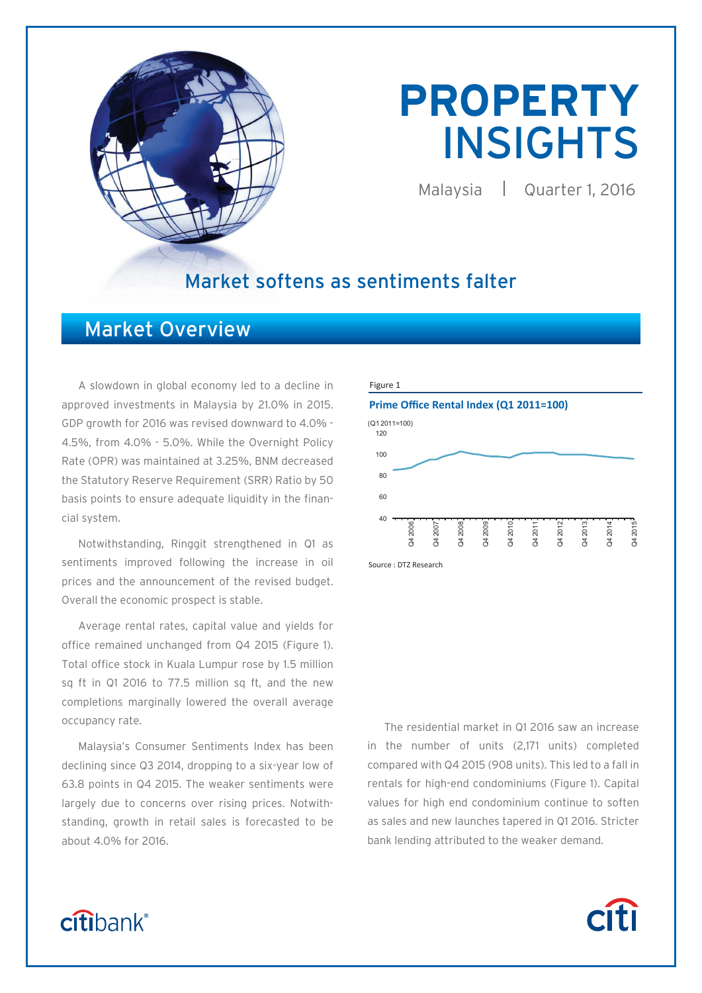

# **PROPERTY**  INSIGHTS

Malaysia | Quarter 1, 2016

## Market softens as sentiments falter

## Market Overview

A slowdown in global economy led to a decline in approved investments in Malaysia by 21.0% in 2015. GDP growth for 2016 was revised downward to 4.0% - 4.5%, from 4.0% - 5.0%. While the Overnight Policy Rate (OPR) was maintained at 3.25%, BNM decreased the Statutory Reserve Requirement (SRR) Ratio by 50 basis points to ensure adequate liquidity in the financial system.

Notwithstanding, Ringgit strengthened in Q1 as sentiments improved following the increase in oil prices and the announcement of the revised budget. Overall the economic prospect is stable.

Average rental rates, capital value and yields for office remained unchanged from Q4 2015 (Figure 1). Total office stock in Kuala Lumpur rose by 1.5 million sq ft in Q1 2016 to 77.5 million sq ft, and the new completions marginally lowered the overall average occupancy rate.

Malaysia's Consumer Sentiments Index has been declining since Q3 2014, dropping to a six-year low of 63.8 points in Q4 2015. The weaker sentiments were largely due to concerns over rising prices. Notwithstanding, growth in retail sales is forecasted to be about 4.0% for 2016.



Source : DTZ Research

The residential market in Q1 2016 saw an increase in the number of units (2,171 units) completed compared with Q4 2015 (908 units). This led to a fall in rentals for high-end condominiums (Figure 1). Capital values for high end condominium continue to soften as sales and new launches tapered in Q1 2016. Stricter bank lending attributed to the weaker demand.

**Citi** 

## citibank®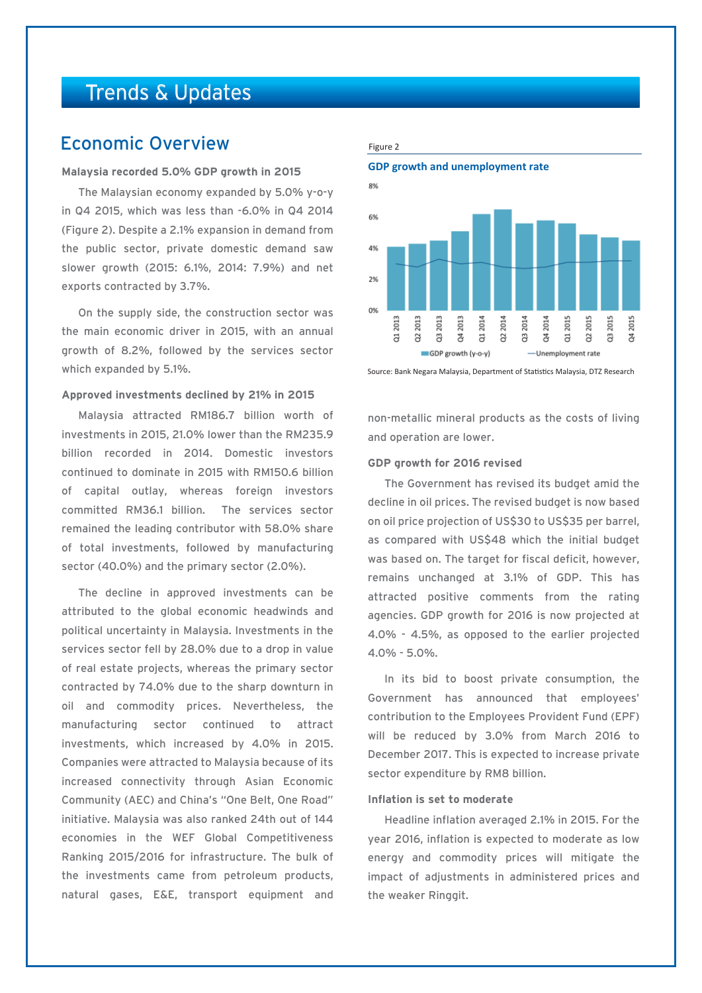## Trends & Updates

## Economic Overview

#### **Malaysia recorded 5.0% GDP growth in 2015**

The Malaysian economy expanded by 5.0% y-o-y in Q4 2015, which was less than -6.0% in Q4 2014 (Figure 2). Despite a 2.1% expansion in demand from the public sector, private domestic demand saw slower growth (2015: 6.1%, 2014: 7.9%) and net exports contracted by 3.7%.

On the supply side, the construction sector was the main economic driver in 2015, with an annual growth of 8.2%, followed by the services sector which expanded by 5.1%.

#### **Approved investments declined by 21% in 2015**

Malaysia attracted RM186.7 billion worth of investments in 2015, 21.0% lower than the RM235.9 billion recorded in 2014. Domestic investors continued to dominate in 2015 with RM150.6 billion of capital outlay, whereas foreign investors committed RM36.1 billion. The services sector remained the leading contributor with 58.0% share of total investments, followed by manufacturing sector (40.0%) and the primary sector (2.0%).

The decline in approved investments can be attributed to the global economic headwinds and political uncertainty in Malaysia. Investments in the services sector fell by 28.0% due to a drop in value of real estate projects, whereas the primary sector contracted by 74.0% due to the sharp downturn in oil and commodity prices. Nevertheless, the manufacturing sector continued to attract investments, which increased by 4.0% in 2015. Companies were attracted to Malaysia because of its increased connectivity through Asian Economic Community (AEC) and China's "One Belt, One Road" initiative. Malaysia was also ranked 24th out of 144 economies in the WEF Global Competitiveness Ranking 2015/2016 for infrastructure. The bulk of the investments came from petroleum products, natural gases, E&E, transport equipment and

#### Figure 2

**GDP growth and unemployment rate**



Source: Bank Negara Malaysia, Department of Statistics Malaysia, DTZ Research

non-metallic mineral products as the costs of living and operation are lower.

#### **GDP growth for 2016 revised**

The Government has revised its budget amid the decline in oil prices. The revised budget is now based on oil price projection of US\$30 to US\$35 per barrel, as compared with US\$48 which the initial budget was based on. The target for fiscal deficit, however, remains unchanged at 3.1% of GDP. This has attracted positive comments from the rating agencies. GDP growth for 2016 is now projected at 4.0% - 4.5%, as opposed to the earlier projected 4.0% - 5.0%.

In its bid to boost private consumption, the Government has announced that employees' contribution to the Employees Provident Fund (EPF) will be reduced by 3.0% from March 2016 to December 2017. This is expected to increase private sector expenditure by RM8 billion.

#### **Inflation is set to moderate**

Headline inflation averaged 2.1% in 2015. For the year 2016, inflation is expected to moderate as low energy and commodity prices will mitigate the impact of adjustments in administered prices and the weaker Ringgit.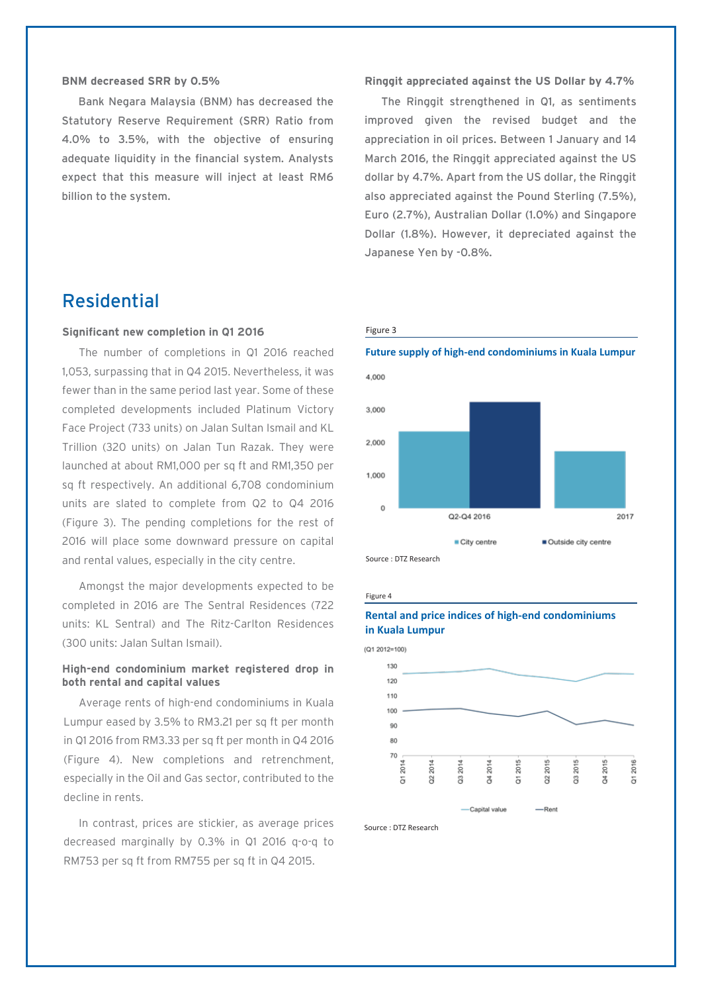#### **BNM decreased SRR by 0.5%**

Bank Negara Malaysia (BNM) has decreased the Statutory Reserve Requirement (SRR) Ratio from 4.0% to 3.5%, with the objective of ensuring adequate liquidity in the financial system. Analysts expect that this measure will inject at least RM6 billion to the system.

## Residential

#### **Significant new completion in Q1 2016**

The number of completions in Q1 2016 reached 1,053, surpassing that in Q4 2015. Nevertheless, it was fewer than in the same period last year. Some of these completed developments included Platinum Victory Face Project (733 units) on Jalan Sultan Ismail and KL Trillion (320 units) on Jalan Tun Razak. They were launched at about RM1,000 per sq ft and RM1,350 per sq ft respectively. An additional 6,708 condominium units are slated to complete from Q2 to Q4 2016 (Figure 3). The pending completions for the rest of 2016 will place some downward pressure on capital and rental values, especially in the city centre.

Amongst the major developments expected to be completed in 2016 are The Sentral Residences (722 units: KL Sentral) and The Ritz-Carlton Residences (300 units: Jalan Sultan Ismail).

#### **High-end condominium market registered drop in both rental and capital values**

Average rents of high-end condominiums in Kuala Lumpur eased by 3.5% to RM3.21 per sq ft per month in Q1 2016 from RM3.33 per sq ft per month in Q4 2016 (Figure 4). New completions and retrenchment, especially in the Oil and Gas sector, contributed to the decline in rents.

In contrast, prices are stickier, as average prices decreased marginally by 0.3% in Q1 2016 q-o-q to RM753 per sq ft from RM755 per sq ft in Q4 2015.

#### **Ringgit appreciated against the US Dollar by 4.7%**

The Ringgit strengthened in Q1, as sentiments improved given the revised budget and the appreciation in oil prices. Between 1 January and 14 March 2016, the Ringgit appreciated against the US dollar by 4.7%. Apart from the US dollar, the Ringgit also appreciated against the Pound Sterling (7.5%), Euro (2.7%), Australian Dollar (1.0%) and Singapore Dollar (1.8%). However, it depreciated against the Japanese Yen by -0.8%.

#### Figure 3



**Future supply of high-end condominiums in Kuala Lumpur**

Figure 4

#### **Rental and price indices of high-end condominiums in Kuala Lumpur**



Source : DTZ Research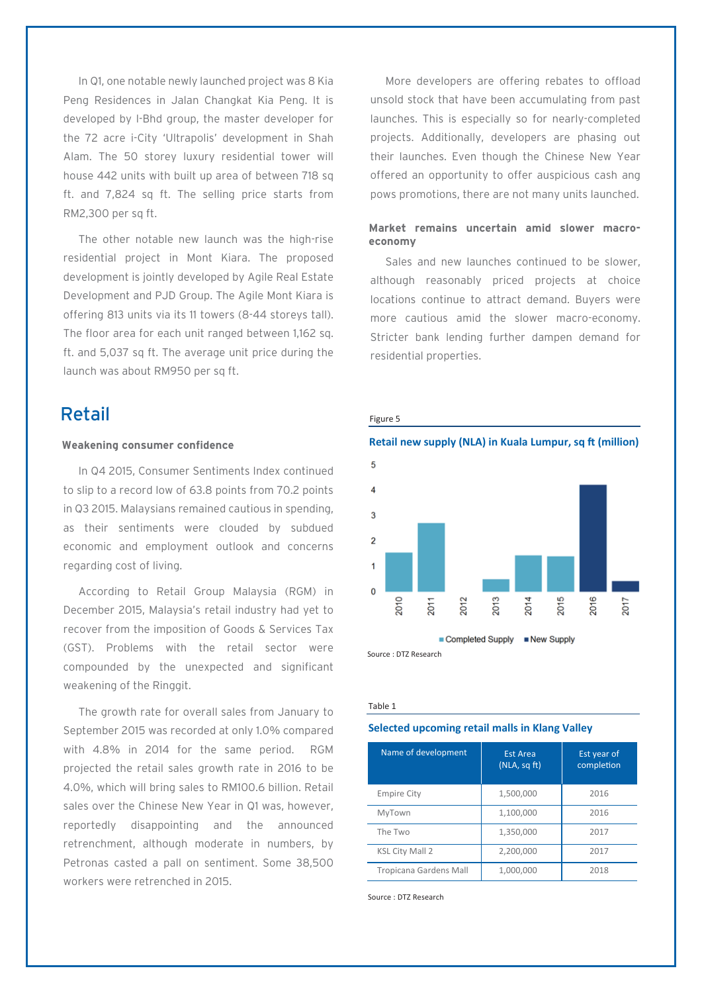In Q1, one notable newly launched project was 8 Kia Peng Residences in Jalan Changkat Kia Peng. It is developed by I-Bhd group, the master developer for the 72 acre i-City 'Ultrapolis' development in Shah Alam. The 50 storey luxury residential tower will house 442 units with built up area of between 718 sq ft. and 7,824 sq ft. The selling price starts from RM2,300 per sq ft.

The other notable new launch was the high-rise residential project in Mont Kiara. The proposed development is jointly developed by Agile Real Estate Development and PJD Group. The Agile Mont Kiara is offering 813 units via its 11 towers (8-44 storeys tall). The floor area for each unit ranged between 1,162 sq. ft. and 5,037 sq ft. The average unit price during the launch was about RM950 per sq ft.

## Retail

#### **Weakening consumer confidence**

In Q4 2015, Consumer Sentiments Index continued to slip to a record low of 63.8 points from 70.2 points in Q3 2015. Malaysians remained cautious in spending, as their sentiments were clouded by subdued economic and employment outlook and concerns regarding cost of living.

According to Retail Group Malaysia (RGM) in December 2015, Malaysia's retail industry had yet to recover from the imposition of Goods & Services Tax (GST). Problems with the retail sector were compounded by the unexpected and significant weakening of the Ringgit.

The growth rate for overall sales from January to September 2015 was recorded at only 1.0% compared with 4.8% in 2014 for the same period. RGM projected the retail sales growth rate in 2016 to be 4.0%, which will bring sales to RM100.6 billion. Retail sales over the Chinese New Year in Q1 was, however, reportedly disappointing and the announced retrenchment, although moderate in numbers, by Petronas casted a pall on sentiment. Some 38,500 workers were retrenched in 2015.

More developers are offering rebates to offload unsold stock that have been accumulating from past launches. This is especially so for nearly-completed projects. Additionally, developers are phasing out their launches. Even though the Chinese New Year offered an opportunity to offer auspicious cash ang pows promotions, there are not many units launched.

#### **Market remains uncertain amid slower macroeconomy**

Sales and new launches continued to be slower, although reasonably priced projects at choice locations continue to attract demand. Buyers were more cautious amid the slower macro-economy. Stricter bank lending further dampen demand for residential properties.



#### Table 1

#### **Selected upcoming retail malls in Klang Valley**

| Name of development    | <b>Est Area</b><br>(NLA, sqft) | Est year of<br>completion |
|------------------------|--------------------------------|---------------------------|
| <b>Empire City</b>     | 1,500,000                      | 2016                      |
| MyTown                 | 1,100,000                      | 2016                      |
| The Two                | 1,350,000                      | 2017                      |
| <b>KSL City Mall 2</b> | 2,200,000                      | 2017                      |
| Tropicana Gardens Mall | 1,000,000                      | 2018                      |

Source : DTZ Research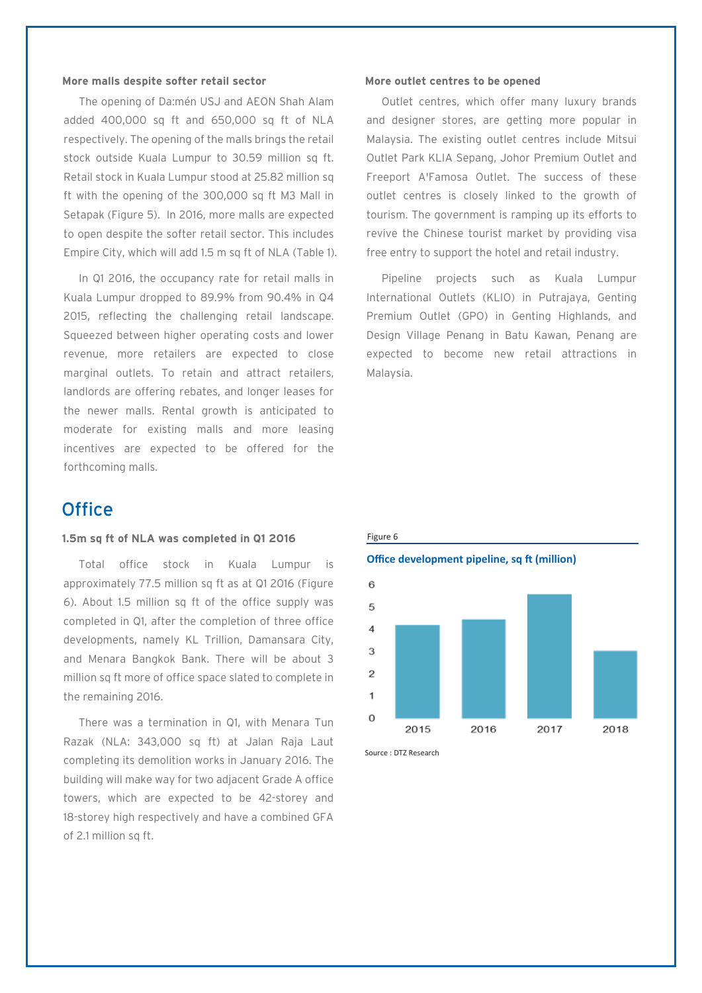#### **More malls despite softer retail sector**

The opening of Da:mén USJ and AEON Shah Alam added 400,000 sq ft and 650,000 sq ft of NLA respectively. The opening of the malls brings the retail stock outside Kuala Lumpur to 30.59 million sq ft. Retail stock in Kuala Lumpur stood at 25.82 million sq ft with the opening of the 300,000 sq ft M3 Mall in Setapak (Figure 5). In 2016, more malls are expected to open despite the softer retail sector. This includes Empire City, which will add 1.5 m sq ft of NLA (Table 1).

In Q1 2016, the occupancy rate for retail malls in Kuala Lumpur dropped to 89.9% from 90.4% in Q4 2015, reflecting the challenging retail landscape. Squeezed between higher operating costs and lower revenue, more retailers are expected to close marginal outlets. To retain and attract retailers, landlords are offering rebates, and longer leases for the newer malls. Rental growth is anticipated to moderate for existing malls and more leasing incentives are expected to be offered for the forthcoming malls.

## **Office**

#### **1.5m sq ft of NLA was completed in Q1 2016**

Total office stock in Kuala Lumpur is approximately 77.5 million sq ft as at Q1 2016 (Figure 6). About 1.5 million sq ft of the office supply was completed in Q1, after the completion of three office developments, namely KL Trillion, Damansara City, and Menara Bangkok Bank. There will be about 3 million sq ft more of office space slated to complete in the remaining 2016.

There was a termination in Q1, with Menara Tun Razak (NLA: 343,000 sq ft) at Jalan Raja Laut completing its demolition works in January 2016. The building will make way for two adjacent Grade A office towers, which are expected to be 42-storey and 18-storey high respectively and have a combined GFA of 2.1 million sq ft.

#### **More outlet centres to be opened**

Outlet centres, which offer many luxury brands and designer stores, are getting more popular in Malaysia. The existing outlet centres include Mitsui Outlet Park KLIA Sepang, Johor Premium Outlet and Freeport A'Famosa Outlet. The success of these outlet centres is closely linked to the growth of tourism. The government is ramping up its efforts to revive the Chinese tourist market by providing visa free entry to support the hotel and retail industry.

Pipeline projects such as Kuala Lumpur International Outlets (KLIO) in Putrajaya, Genting Premium Outlet (GPO) in Genting Highlands, and Design Village Penang in Batu Kawan, Penang are expected to become new retail attractions in Malaysia.



Source : DTZ Research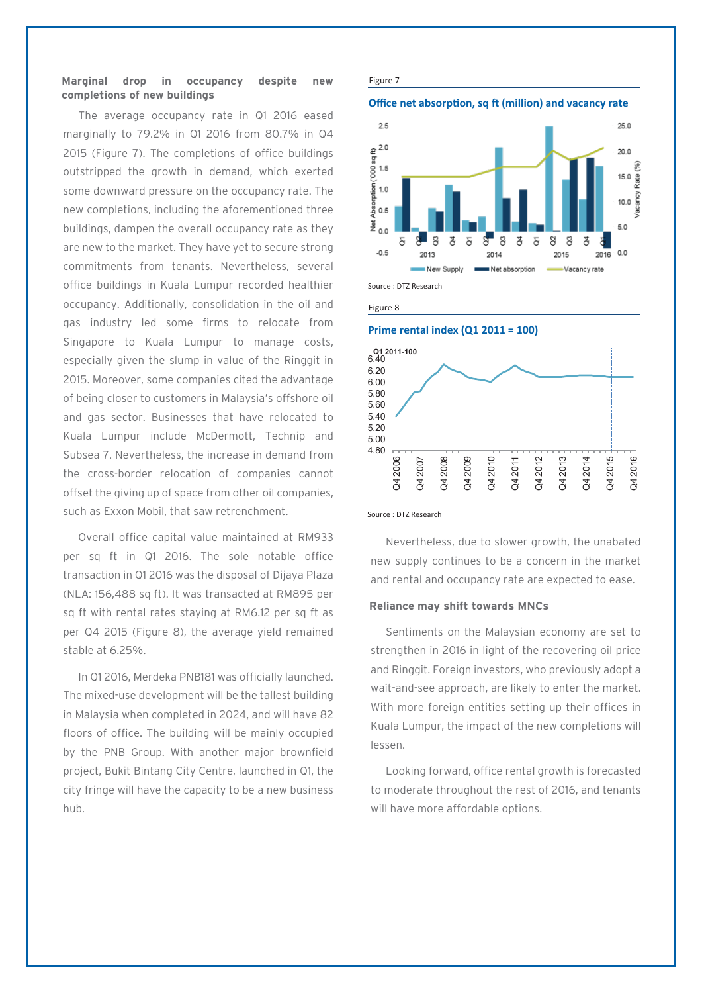#### **Marginal drop in occupancy despite new completions of new buildings**

The average occupancy rate in Q1 2016 eased marginally to 79.2% in Q1 2016 from 80.7% in Q4 2015 (Figure 7). The completions of office buildings outstripped the growth in demand, which exerted some downward pressure on the occupancy rate. The new completions, including the aforementioned three buildings, dampen the overall occupancy rate as they are new to the market. They have yet to secure strong commitments from tenants. Nevertheless, several office buildings in Kuala Lumpur recorded healthier occupancy. Additionally, consolidation in the oil and gas industry led some firms to relocate from Singapore to Kuala Lumpur to manage costs, especially given the slump in value of the Ringgit in 2015. Moreover, some companies cited the advantage of being closer to customers in Malaysia's offshore oil and gas sector. Businesses that have relocated to Kuala Lumpur include McDermott, Technip and Subsea 7. Nevertheless, the increase in demand from the cross-border relocation of companies cannot offset the giving up of space from other oil companies, such as Exxon Mobil, that saw retrenchment.

Overall office capital value maintained at RM933 per sq ft in Q1 2016. The sole notable office transaction in Q1 2016 was the disposal of Dijaya Plaza (NLA: 156,488 sq ft). It was transacted at RM895 per sq ft with rental rates staying at RM6.12 per sq ft as per Q4 2015 (Figure 8), the average yield remained stable at 6.25%.

In Q1 2016, Merdeka PNB181 was officially launched. The mixed-use development will be the tallest building in Malaysia when completed in 2024, and will have 82 floors of office. The building will be mainly occupied by the PNB Group. With another major brownfield project, Bukit Bintang City Centre, launched in Q1, the city fringe will have the capacity to be a new business hub.

#### Figure 7





Figure 8





Source : DTZ Research

Nevertheless, due to slower growth, the unabated new supply continues to be a concern in the market and rental and occupancy rate are expected to ease.

#### **Reliance may shift towards MNCs**

Sentiments on the Malaysian economy are set to strengthen in 2016 in light of the recovering oil price and Ringgit. Foreign investors, who previously adopt a wait-and-see approach, are likely to enter the market. With more foreign entities setting up their offices in Kuala Lumpur, the impact of the new completions will lessen.

Looking forward, office rental growth is forecasted to moderate throughout the rest of 2016, and tenants will have more affordable options.